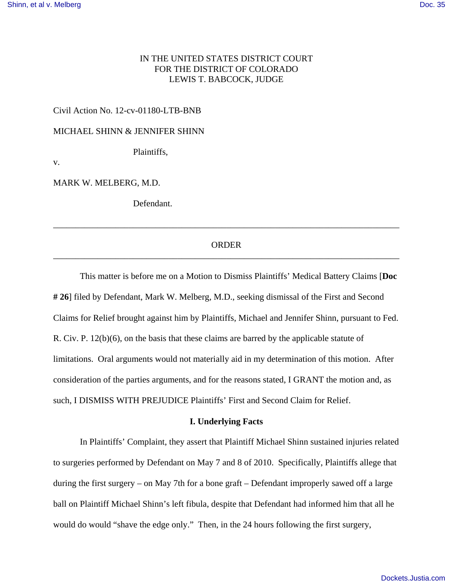# IN THE UNITED STATES DISTRICT COURT FOR THE DISTRICT OF COLORADO LEWIS T. BABCOCK, JUDGE

### Civil Action No. 12-cv-01180-LTB-BNB

MICHAEL SHINN & JENNIFER SHINN

Plaintiffs,

v.

MARK W. MELBERG, M.D.

Defendant.

## ORDER \_\_\_\_\_\_\_\_\_\_\_\_\_\_\_\_\_\_\_\_\_\_\_\_\_\_\_\_\_\_\_\_\_\_\_\_\_\_\_\_\_\_\_\_\_\_\_\_\_\_\_\_\_\_\_\_\_\_\_\_\_\_\_\_\_\_\_\_\_\_\_\_\_\_\_\_\_\_

\_\_\_\_\_\_\_\_\_\_\_\_\_\_\_\_\_\_\_\_\_\_\_\_\_\_\_\_\_\_\_\_\_\_\_\_\_\_\_\_\_\_\_\_\_\_\_\_\_\_\_\_\_\_\_\_\_\_\_\_\_\_\_\_\_\_\_\_\_\_\_\_\_\_\_\_\_\_

This matter is before me on a Motion to Dismiss Plaintiffs' Medical Battery Claims [**Doc # 26**] filed by Defendant, Mark W. Melberg, M.D., seeking dismissal of the First and Second Claims for Relief brought against him by Plaintiffs, Michael and Jennifer Shinn, pursuant to Fed. R. Civ. P. 12(b)(6), on the basis that these claims are barred by the applicable statute of limitations. Oral arguments would not materially aid in my determination of this motion. After consideration of the parties arguments, and for the reasons stated, I GRANT the motion and, as such, I DISMISS WITH PREJUDICE Plaintiffs' First and Second Claim for Relief.

#### **I. Underlying Facts**

In Plaintiffs' Complaint, they assert that Plaintiff Michael Shinn sustained injuries related to surgeries performed by Defendant on May 7 and 8 of 2010. Specifically, Plaintiffs allege that during the first surgery – on May 7th for a bone graft – Defendant improperly sawed off a large ball on Plaintiff Michael Shinn's left fibula, despite that Defendant had informed him that all he would do would "shave the edge only." Then, in the 24 hours following the first surgery,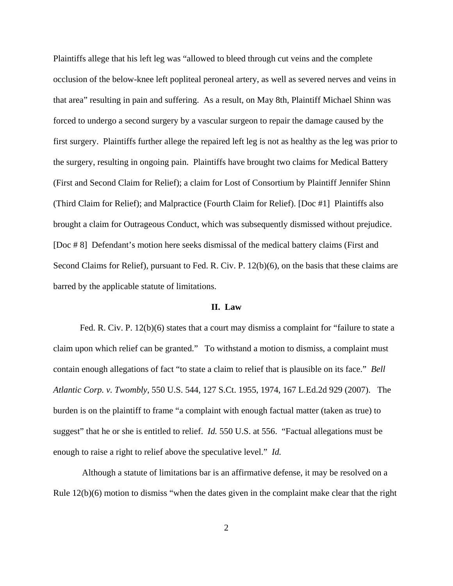Plaintiffs allege that his left leg was "allowed to bleed through cut veins and the complete occlusion of the below-knee left popliteal peroneal artery, as well as severed nerves and veins in that area" resulting in pain and suffering. As a result, on May 8th, Plaintiff Michael Shinn was forced to undergo a second surgery by a vascular surgeon to repair the damage caused by the first surgery. Plaintiffs further allege the repaired left leg is not as healthy as the leg was prior to the surgery, resulting in ongoing pain. Plaintiffs have brought two claims for Medical Battery (First and Second Claim for Relief); a claim for Lost of Consortium by Plaintiff Jennifer Shinn (Third Claim for Relief); and Malpractice (Fourth Claim for Relief). [Doc #1] Plaintiffs also brought a claim for Outrageous Conduct, which was subsequently dismissed without prejudice. [Doc # 8] Defendant's motion here seeks dismissal of the medical battery claims (First and Second Claims for Relief), pursuant to Fed. R. Civ. P. 12(b)(6), on the basis that these claims are barred by the applicable statute of limitations.

### **II. Law**

Fed. R. Civ. P. 12(b)(6) states that a court may dismiss a complaint for "failure to state a claim upon which relief can be granted." To withstand a motion to dismiss, a complaint must contain enough allegations of fact "to state a claim to relief that is plausible on its face." *Bell Atlantic Corp. v. Twombly*, 550 U.S. 544, 127 S.Ct. 1955, 1974, 167 L.Ed.2d 929 (2007). The burden is on the plaintiff to frame "a complaint with enough factual matter (taken as true) to suggest" that he or she is entitled to relief. *Id.* 550 U.S. at 556. "Factual allegations must be enough to raise a right to relief above the speculative level." *Id.*

 Although a statute of limitations bar is an affirmative defense, it may be resolved on a Rule 12(b)(6) motion to dismiss "when the dates given in the complaint make clear that the right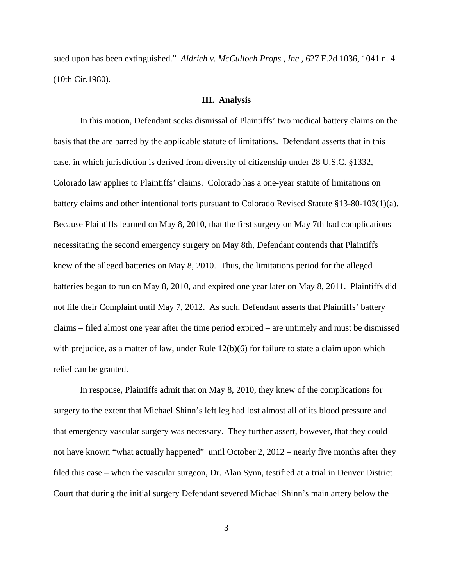sued upon has been extinguished." *Aldrich v. McCulloch Props., Inc.,* 627 F.2d 1036, 1041 n. 4 (10th Cir.1980).

#### **III. Analysis**

In this motion, Defendant seeks dismissal of Plaintiffs' two medical battery claims on the basis that the are barred by the applicable statute of limitations. Defendant asserts that in this case, in which jurisdiction is derived from diversity of citizenship under 28 U.S.C. §1332, Colorado law applies to Plaintiffs' claims. Colorado has a one-year statute of limitations on battery claims and other intentional torts pursuant to Colorado Revised Statute §13-80-103(1)(a). Because Plaintiffs learned on May 8, 2010, that the first surgery on May 7th had complications necessitating the second emergency surgery on May 8th, Defendant contends that Plaintiffs knew of the alleged batteries on May 8, 2010. Thus, the limitations period for the alleged batteries began to run on May 8, 2010, and expired one year later on May 8, 2011. Plaintiffs did not file their Complaint until May 7, 2012. As such, Defendant asserts that Plaintiffs' battery claims – filed almost one year after the time period expired – are untimely and must be dismissed with prejudice, as a matter of law, under Rule 12(b)(6) for failure to state a claim upon which relief can be granted.

In response, Plaintiffs admit that on May 8, 2010, they knew of the complications for surgery to the extent that Michael Shinn's left leg had lost almost all of its blood pressure and that emergency vascular surgery was necessary. They further assert, however, that they could not have known "what actually happened" until October 2, 2012 – nearly five months after they filed this case – when the vascular surgeon, Dr. Alan Synn, testified at a trial in Denver District Court that during the initial surgery Defendant severed Michael Shinn's main artery below the

3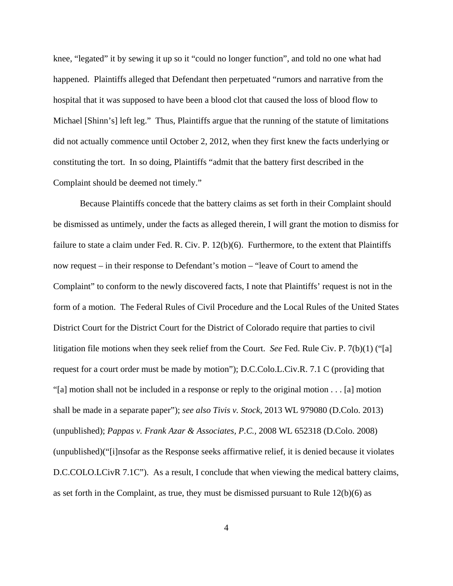knee, "legated" it by sewing it up so it "could no longer function", and told no one what had happened. Plaintiffs alleged that Defendant then perpetuated "rumors and narrative from the hospital that it was supposed to have been a blood clot that caused the loss of blood flow to Michael [Shinn's] left leg." Thus, Plaintiffs argue that the running of the statute of limitations did not actually commence until October 2, 2012, when they first knew the facts underlying or constituting the tort. In so doing, Plaintiffs "admit that the battery first described in the Complaint should be deemed not timely."

Because Plaintiffs concede that the battery claims as set forth in their Complaint should be dismissed as untimely, under the facts as alleged therein, I will grant the motion to dismiss for failure to state a claim under Fed. R. Civ. P. 12(b)(6). Furthermore, to the extent that Plaintiffs now request – in their response to Defendant's motion – "leave of Court to amend the Complaint" to conform to the newly discovered facts, I note that Plaintiffs' request is not in the form of a motion. The Federal Rules of Civil Procedure and the Local Rules of the United States District Court for the District Court for the District of Colorado require that parties to civil litigation file motions when they seek relief from the Court. *See* Fed. Rule Civ. P. 7(b)(1) ("[a] request for a court order must be made by motion"); D.C.Colo.L.Civ.R. 7.1 C (providing that "[a] motion shall not be included in a response or reply to the original motion . . . [a] motion shall be made in a separate paper"); *see also Tivis v. Stock,* 2013 WL 979080 (D.Colo. 2013) (unpublished); *Pappas v. Frank Azar & Associates, P.C.,* 2008 WL 652318 (D.Colo. 2008) (unpublished)("[i]nsofar as the Response seeks affirmative relief, it is denied because it violates D.C.COLO.LCivR 7.1C"). As a result, I conclude that when viewing the medical battery claims, as set forth in the Complaint, as true, they must be dismissed pursuant to Rule  $12(b)(6)$  as